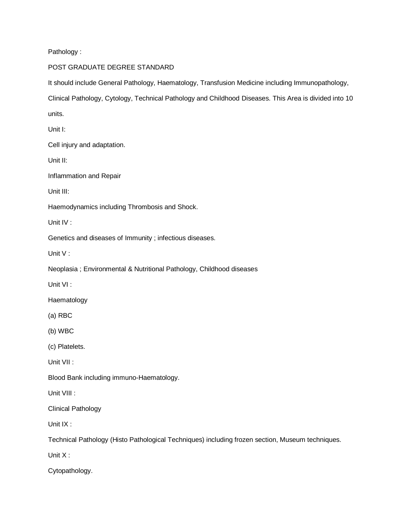Pathology :

## POST GRADUATE DEGREE STANDARD

It should include General Pathology, Haematology, Transfusion Medicine including Immunopathology,

Clinical Pathology, Cytology, Technical Pathology and Childhood Diseases. This Area is divided into 10

units.

Unit I:

Cell injury and adaptation.

Unit II:

Inflammation and Repair

Unit III:

Haemodynamics including Thrombosis and Shock.

Unit IV :

Genetics and diseases of Immunity ; infectious diseases.

Unit V :

Neoplasia ; Environmental & Nutritional Pathology, Childhood diseases

Unit VI :

Haematology

(a) RBC

(b) WBC

(c) Platelets.

Unit VII :

Blood Bank including immuno-Haematology.

Unit VIII :

Clinical Pathology

Unit IX :

Technical Pathology (Histo Pathological Techniques) including frozen section, Museum techniques.

Unit X :

Cytopathology.